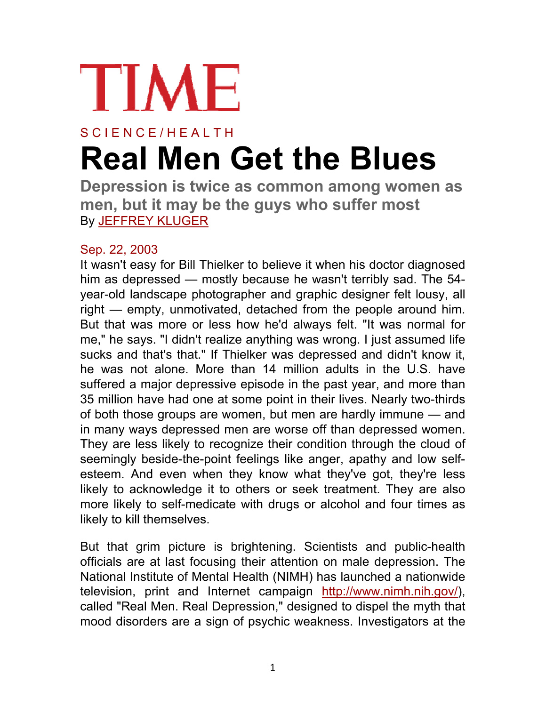

## S C I E N C E / H E A L T H **Real Men Get the Blues**

**Depression is twice as common among women as men, but it may be the guys who suffer most** By JEFFREY KLUGER

## Sep. 22, 2003

It wasn't easy for Bill Thielker to believe it when his doctor diagnosed him as depressed — mostly because he wasn't terribly sad. The 54 year-old landscape photographer and graphic designer felt lousy, all right — empty, unmotivated, detached from the people around him. But that was more or less how he'd always felt. "It was normal for me," he says. "I didn't realize anything was wrong. I just assumed life sucks and that's that." If Thielker was depressed and didn't know it, he was not alone. More than 14 million adults in the U.S. have suffered a major depressive episode in the past year, and more than 35 million have had one at some point in their lives. Nearly two-thirds of both those groups are women, but men are hardly immune — and in many ways depressed men are worse off than depressed women. They are less likely to recognize their condition through the cloud of seemingly beside-the-point feelings like anger, apathy and low selfesteem. And even when they know what they've got, they're less likely to acknowledge it to others or seek treatment. They are also more likely to self-medicate with drugs or alcohol and four times as likely to kill themselves.

But that grim picture is brightening. Scientists and public-health officials are at last focusing their attention on male depression. The National Institute of Mental Health (NIMH) has launched a nationwide television, print and Internet campaign http://www.nimh.nih.gov/), called "Real Men. Real Depression," designed to dispel the myth that mood disorders are a sign of psychic weakness. Investigators at the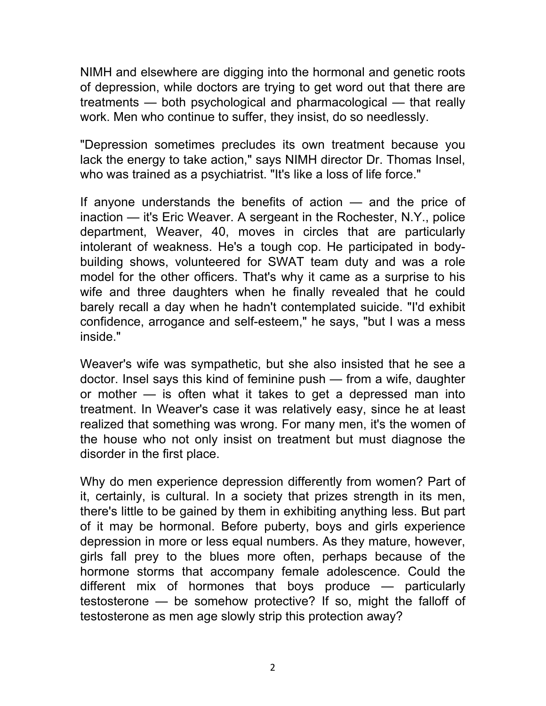NIMH and elsewhere are digging into the hormonal and genetic roots of depression, while doctors are trying to get word out that there are treatments — both psychological and pharmacological — that really work. Men who continue to suffer, they insist, do so needlessly.

"Depression sometimes precludes its own treatment because you lack the energy to take action," says NIMH director Dr. Thomas Insel, who was trained as a psychiatrist. "It's like a loss of life force."

If anyone understands the benefits of action — and the price of inaction — it's Eric Weaver. A sergeant in the Rochester, N.Y., police department, Weaver, 40, moves in circles that are particularly intolerant of weakness. He's a tough cop. He participated in bodybuilding shows, volunteered for SWAT team duty and was a role model for the other officers. That's why it came as a surprise to his wife and three daughters when he finally revealed that he could barely recall a day when he hadn't contemplated suicide. "I'd exhibit confidence, arrogance and self-esteem," he says, "but I was a mess inside."

Weaver's wife was sympathetic, but she also insisted that he see a doctor. Insel says this kind of feminine push — from a wife, daughter or mother — is often what it takes to get a depressed man into treatment. In Weaver's case it was relatively easy, since he at least realized that something was wrong. For many men, it's the women of the house who not only insist on treatment but must diagnose the disorder in the first place.

Why do men experience depression differently from women? Part of it, certainly, is cultural. In a society that prizes strength in its men, there's little to be gained by them in exhibiting anything less. But part of it may be hormonal. Before puberty, boys and girls experience depression in more or less equal numbers. As they mature, however, girls fall prey to the blues more often, perhaps because of the hormone storms that accompany female adolescence. Could the different mix of hormones that boys produce — particularly testosterone — be somehow protective? If so, might the falloff of testosterone as men age slowly strip this protection away?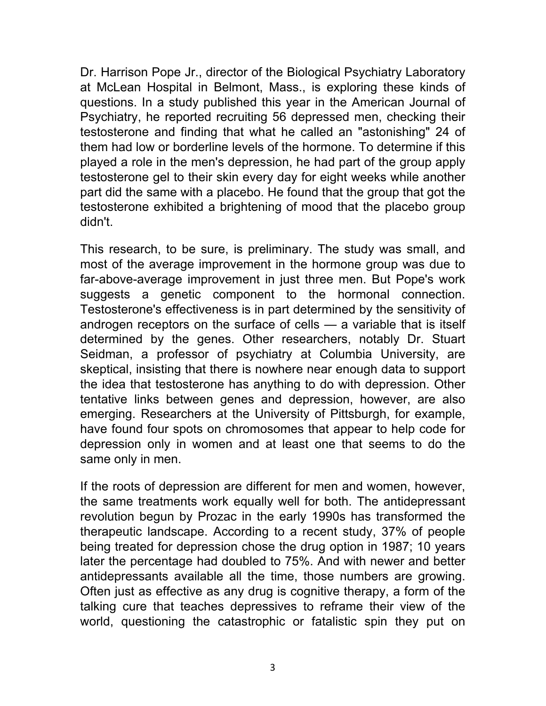Dr. Harrison Pope Jr., director of the Biological Psychiatry Laboratory at McLean Hospital in Belmont, Mass., is exploring these kinds of questions. In a study published this year in the American Journal of Psychiatry, he reported recruiting 56 depressed men, checking their testosterone and finding that what he called an "astonishing" 24 of them had low or borderline levels of the hormone. To determine if this played a role in the men's depression, he had part of the group apply testosterone gel to their skin every day for eight weeks while another part did the same with a placebo. He found that the group that got the testosterone exhibited a brightening of mood that the placebo group didn't.

This research, to be sure, is preliminary. The study was small, and most of the average improvement in the hormone group was due to far-above-average improvement in just three men. But Pope's work suggests a genetic component to the hormonal connection. Testosterone's effectiveness is in part determined by the sensitivity of androgen receptors on the surface of cells — a variable that is itself determined by the genes. Other researchers, notably Dr. Stuart Seidman, a professor of psychiatry at Columbia University, are skeptical, insisting that there is nowhere near enough data to support the idea that testosterone has anything to do with depression. Other tentative links between genes and depression, however, are also emerging. Researchers at the University of Pittsburgh, for example, have found four spots on chromosomes that appear to help code for depression only in women and at least one that seems to do the same only in men.

If the roots of depression are different for men and women, however, the same treatments work equally well for both. The antidepressant revolution begun by Prozac in the early 1990s has transformed the therapeutic landscape. According to a recent study, 37% of people being treated for depression chose the drug option in 1987; 10 years later the percentage had doubled to 75%. And with newer and better antidepressants available all the time, those numbers are growing. Often just as effective as any drug is cognitive therapy, a form of the talking cure that teaches depressives to reframe their view of the world, questioning the catastrophic or fatalistic spin they put on